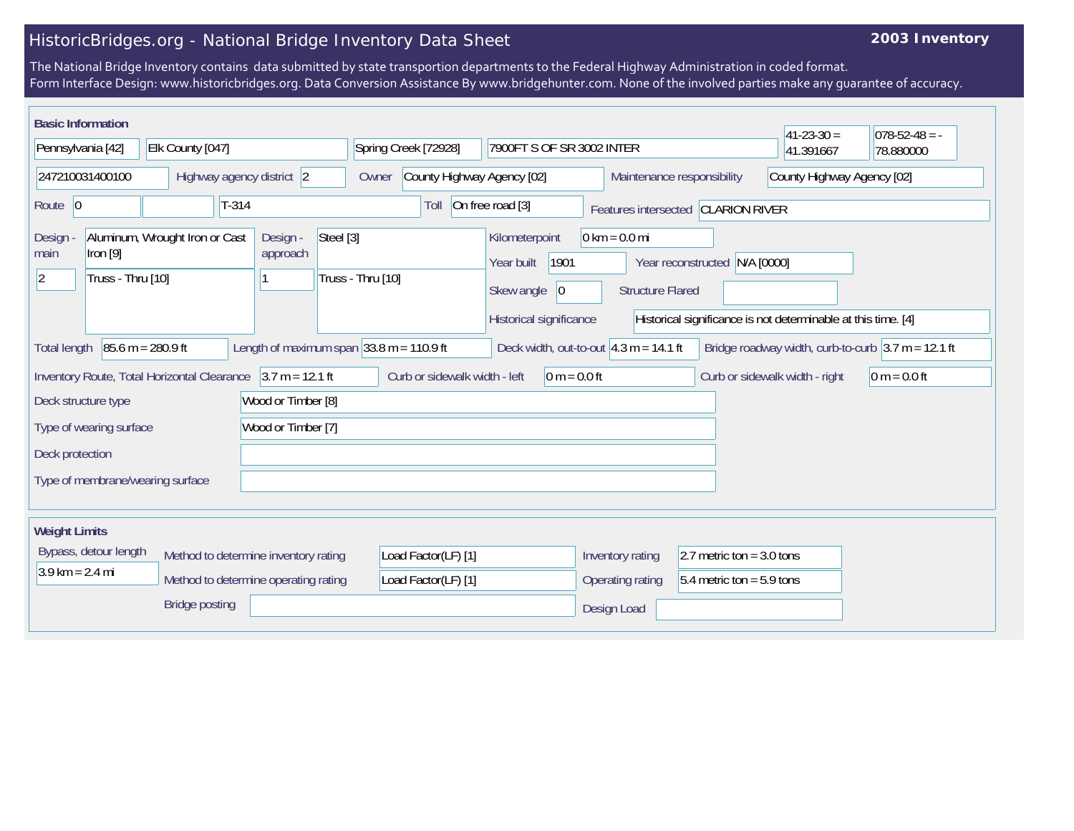## HistoricBridges.org - National Bridge Inventory Data Sheet

## **2003 Inventory**

The National Bridge Inventory contains data submitted by state transportion departments to the Federal Highway Administration in coded format. Form Interface Design: www.historicbridges.org. Data Conversion Assistance By www.bridgehunter.com. None of the involved parties make any guarantee of accuracy.

| <b>Basic Information</b>                                                                                                                                                                                     |                                                             |                                                   |                                                                |                                      |                                 |                                  | $ 41-23-30 =$                                                 | $ 078-52-48 = -$ |
|--------------------------------------------------------------------------------------------------------------------------------------------------------------------------------------------------------------|-------------------------------------------------------------|---------------------------------------------------|----------------------------------------------------------------|--------------------------------------|---------------------------------|----------------------------------|---------------------------------------------------------------|------------------|
| Pennsylvania [42]<br>Elk County [047]                                                                                                                                                                        |                                                             | Spring Creek [72928]<br>7900FT S OF SR 3002 INTER |                                                                |                                      |                                 | 41.391667                        | 78.880000                                                     |                  |
| 247210031400100<br>Highway agency district 2                                                                                                                                                                 |                                                             | County Highway Agency [02]<br>Owner               |                                                                | Maintenance responsibility           |                                 | County Highway Agency [02]       |                                                               |                  |
| $T-314$<br>Route 0                                                                                                                                                                                           |                                                             |                                                   | On free road [3]<br>Toll<br>Features intersected CLARION RIVER |                                      |                                 |                                  |                                                               |                  |
| Design<br>$ $ Iron [9]<br>main                                                                                                                                                                               | Aluminum, Wrought Iron or Cast                              | Steel [3]<br>Design -<br>approach                 |                                                                | Kilometerpoint<br>1901<br>Year built | $0 \text{ km} = 0.0 \text{ mi}$ | N/A [0000]<br>Year reconstructed |                                                               |                  |
| Truss - Thru [10]<br>$ 2\rangle$                                                                                                                                                                             |                                                             |                                                   | Truss - Thru [10]<br>Skew angle<br>$ 0\rangle$                 |                                      | <b>Structure Flared</b>         |                                  |                                                               |                  |
|                                                                                                                                                                                                              |                                                             |                                                   |                                                                | Historical significance              |                                 |                                  | Historical significance is not determinable at this time. [4] |                  |
| Length of maximum span $33.8$ m = 110.9 ft<br>$85.6 m = 280.9 ft$<br>Deck width, out-to-out $4.3 m = 14.1 ft$<br>Bridge roadway width, curb-to-curb $3.7 \text{ m} = 12.1 \text{ ft}$<br><b>Total length</b> |                                                             |                                                   |                                                                |                                      |                                 |                                  |                                                               |                  |
|                                                                                                                                                                                                              | Inventory Route, Total Horizontal Clearance 3.7 m = 12.1 ft |                                                   | Curb or sidewalk width - left                                  | $0 m = 0.0 ft$                       |                                 |                                  | Curb or sidewalk width - right                                | $0 m = 0.0 ft$   |
| Wood or Timber [8]<br>Deck structure type                                                                                                                                                                    |                                                             |                                                   |                                                                |                                      |                                 |                                  |                                                               |                  |
| Wood or Timber [7]<br>Type of wearing surface                                                                                                                                                                |                                                             |                                                   |                                                                |                                      |                                 |                                  |                                                               |                  |
| Deck protection                                                                                                                                                                                              |                                                             |                                                   |                                                                |                                      |                                 |                                  |                                                               |                  |
| Type of membrane/wearing surface                                                                                                                                                                             |                                                             |                                                   |                                                                |                                      |                                 |                                  |                                                               |                  |
|                                                                                                                                                                                                              |                                                             |                                                   |                                                                |                                      |                                 |                                  |                                                               |                  |
| <b>Weight Limits</b>                                                                                                                                                                                         |                                                             |                                                   |                                                                |                                      |                                 |                                  |                                                               |                  |
| Bypass, detour length<br>$3.9 \text{ km} = 2.4 \text{ mi}$                                                                                                                                                   |                                                             | Method to determine inventory rating              | Load Factor(LF) [1]                                            |                                      | Inventory rating                | 2.7 metric ton = $3.0$ tons      |                                                               |                  |
|                                                                                                                                                                                                              |                                                             | Method to determine operating rating              | Load Factor(LF) [1]                                            |                                      | Operating rating                | $5.4$ metric ton = 5.9 tons      |                                                               |                  |
|                                                                                                                                                                                                              | <b>Bridge posting</b>                                       |                                                   |                                                                |                                      | Design Load                     |                                  |                                                               |                  |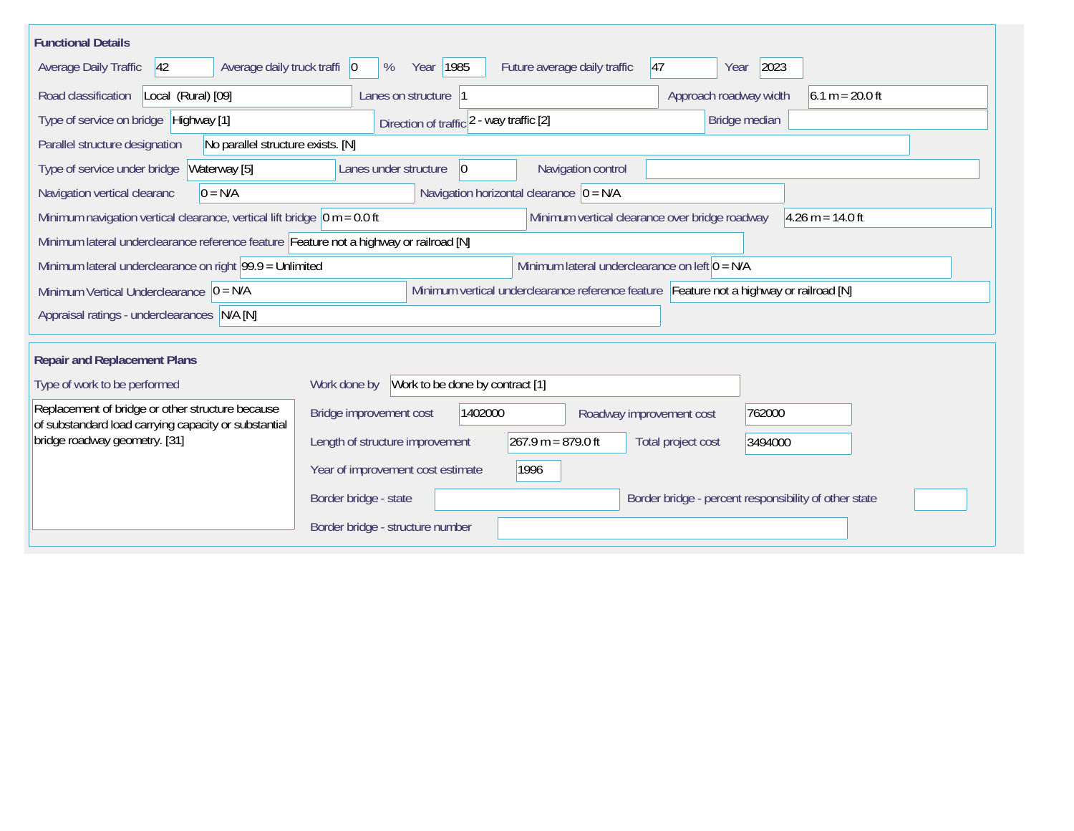| <b>Functional Details</b>                                                                                                                                |                                                                                          |  |  |  |  |  |  |  |  |
|----------------------------------------------------------------------------------------------------------------------------------------------------------|------------------------------------------------------------------------------------------|--|--|--|--|--|--|--|--|
| Year 1985<br> 47 <br>2023<br>Average Daily Traffic<br> 42 <br>Average daily truck traffi   0<br>Future average daily traffic<br>%<br>Year                |                                                                                          |  |  |  |  |  |  |  |  |
| Road classification<br>Local (Rural) [09]                                                                                                                | Approach roadway width<br>$6.1 m = 20.0 ft$<br>Lanes on structure 1                      |  |  |  |  |  |  |  |  |
| Type of service on bridge Highway [1]                                                                                                                    | Bridge median<br>Direction of traffic 2 - way traffic [2]                                |  |  |  |  |  |  |  |  |
| No parallel structure exists. [N]<br>Parallel structure designation                                                                                      |                                                                                          |  |  |  |  |  |  |  |  |
| Waterway [5]<br>Type of service under bridge                                                                                                             | 0 <br>Navigation control<br>Lanes under structure                                        |  |  |  |  |  |  |  |  |
| $0 = N/A$<br>Navigation vertical clearanc                                                                                                                | Navigation horizontal clearance $ 0 = N/A $                                              |  |  |  |  |  |  |  |  |
| Minimum navigation vertical clearance, vertical lift bridge $\vert$ 0 m = 0.0 ft<br>Minimum vertical clearance over bridge roadway<br>$4.26$ m = 14.0 ft |                                                                                          |  |  |  |  |  |  |  |  |
| Minimum lateral underclearance reference feature Feature not a highway or railroad [N]                                                                   |                                                                                          |  |  |  |  |  |  |  |  |
| Minimum lateral underclearance on right 99.9 = Unlimited                                                                                                 | Minimum lateral underclearance on left $0 = N/A$                                         |  |  |  |  |  |  |  |  |
| Minimum Vertical Underclearance $ 0 = N/A$                                                                                                               | Minimum vertical underclearance reference feature Feature not a highway or railroad [N]  |  |  |  |  |  |  |  |  |
| Appraisal ratings - underclearances N/A [N]                                                                                                              |                                                                                          |  |  |  |  |  |  |  |  |
|                                                                                                                                                          |                                                                                          |  |  |  |  |  |  |  |  |
| <b>Repair and Replacement Plans</b>                                                                                                                      |                                                                                          |  |  |  |  |  |  |  |  |
| Type of work to be performed                                                                                                                             | Work to be done by contract [1]<br>Work done by                                          |  |  |  |  |  |  |  |  |
| Replacement of bridge or other structure because<br>of substandard load carrying capacity or substantial                                                 | 1402000<br>Bridge improvement cost<br>762000<br>Roadway improvement cost                 |  |  |  |  |  |  |  |  |
| bridge roadway geometry. [31]                                                                                                                            | $267.9 m = 879.0 ft$<br>Length of structure improvement<br>Total project cost<br>3494000 |  |  |  |  |  |  |  |  |
|                                                                                                                                                          | Year of improvement cost estimate<br>1996                                                |  |  |  |  |  |  |  |  |
|                                                                                                                                                          | Border bridge - state<br>Border bridge - percent responsibility of other state           |  |  |  |  |  |  |  |  |
|                                                                                                                                                          | Border bridge - structure number                                                         |  |  |  |  |  |  |  |  |